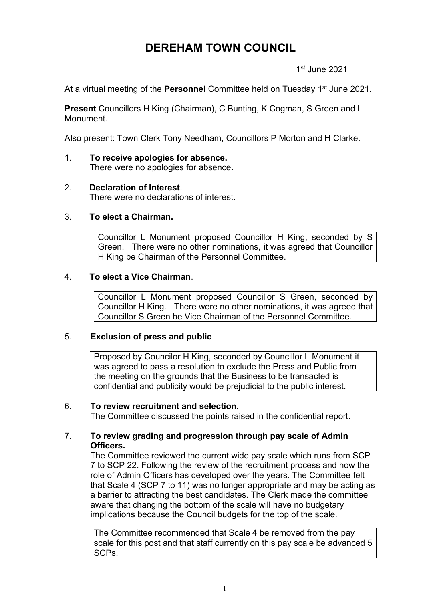# **DEREHAM TOWN COUNCIL**

1 st June 2021

At a virtual meeting of the **Personnel** Committee held on Tuesday 1<sup>st</sup> June 2021.

**Present** Councillors H King (Chairman), C Bunting, K Cogman, S Green and L Monument.

Also present: Town Clerk Tony Needham, Councillors P Morton and H Clarke.

- 1. **To receive apologies for absence.** There were no apologies for absence.
- 2. **Declaration of Interest**. There were no declarations of interest.

# 3. **To elect a Chairman.**

Councillor L Monument proposed Councillor H King, seconded by S Green. There were no other nominations, it was agreed that Councillor H King be Chairman of the Personnel Committee.

## 4. **To elect a Vice Chairman**.

Councillor L Monument proposed Councillor S Green, seconded by Councillor H King. There were no other nominations, it was agreed that Councillor S Green be Vice Chairman of the Personnel Committee.

### 5. **Exclusion of press and public**

Proposed by Councilor H King, seconded by Councillor L Monument it was agreed to pass a resolution to exclude the Press and Public from the meeting on the grounds that the Business to be transacted is confidential and publicity would be prejudicial to the public interest.

### 6. **To review recruitment and selection.**

The Committee discussed the points raised in the confidential report.

### 7. **To review grading and progression through pay scale of Admin Officers.**

The Committee reviewed the current wide pay scale which runs from SCP 7 to SCP 22. Following the review of the recruitment process and how the role of Admin Officers has developed over the years. The Committee felt that Scale 4 (SCP 7 to 11) was no longer appropriate and may be acting as a barrier to attracting the best candidates. The Clerk made the committee aware that changing the bottom of the scale will have no budgetary implications because the Council budgets for the top of the scale.

The Committee recommended that Scale 4 be removed from the pay scale for this post and that staff currently on this pay scale be advanced 5 SCPs.